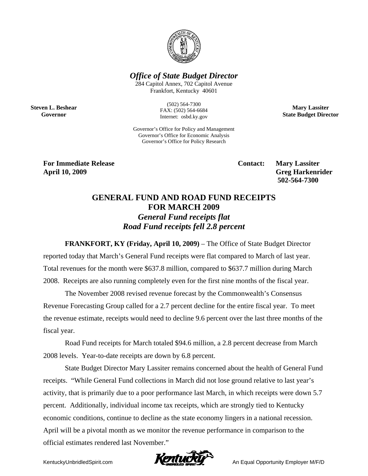

*Office of State Budget Director* 

284 Capitol Annex, 702 Capitol Avenue Frankfort, Kentucky 40601

**Steven L. Beshear Governor** 

(502) 564-7300 FAX: (502) 564-6684 Internet: osbd.ky.gov

Governor's Office for Policy and Management Governor's Office for Economic Analysis Governor's Office for Policy Research

**Mary Lassiter State Budget Director** 

**For Immediate Release Contact: Mary Lassiter Contact:** Mary Lassiter

**April 10, 2009 Greg Harkenrider 502-564-7300** 

## **GENERAL FUND AND ROAD FUND RECEIPTS FOR MARCH 2009**  *General Fund receipts flat Road Fund receipts fell 2.8 percent*

**FRANKFORT, KY (Friday, April 10, 2009)** – The Office of State Budget Director reported today that March's General Fund receipts were flat compared to March of last year. Total revenues for the month were \$637.8 million, compared to \$637.7 million during March 2008. Receipts are also running completely even for the first nine months of the fiscal year.

The November 2008 revised revenue forecast by the Commonwealth's Consensus Revenue Forecasting Group called for a 2.7 percent decline for the entire fiscal year. To meet the revenue estimate, receipts would need to decline 9.6 percent over the last three months of the fiscal year.

Road Fund receipts for March totaled \$94.6 million, a 2.8 percent decrease from March 2008 levels. Year-to-date receipts are down by 6.8 percent.

State Budget Director Mary Lassiter remains concerned about the health of General Fund receipts. "While General Fund collections in March did not lose ground relative to last year's activity, that is primarily due to a poor performance last March, in which receipts were down 5.7 percent. Additionally, individual income tax receipts, which are strongly tied to Kentucky economic conditions, continue to decline as the state economy lingers in a national recession. April will be a pivotal month as we monitor the revenue performance in comparison to the official estimates rendered last November."

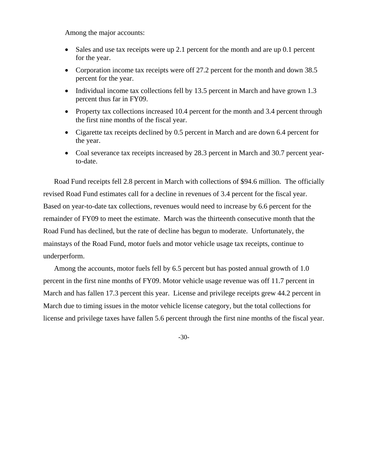Among the major accounts:

- Sales and use tax receipts were up 2.1 percent for the month and are up 0.1 percent for the year.
- Corporation income tax receipts were off 27.2 percent for the month and down 38.5 percent for the year.
- Individual income tax collections fell by 13.5 percent in March and have grown 1.3 percent thus far in FY09.
- Property tax collections increased 10.4 percent for the month and 3.4 percent through the first nine months of the fiscal year.
- Cigarette tax receipts declined by 0.5 percent in March and are down 6.4 percent for the year.
- Coal severance tax receipts increased by 28.3 percent in March and 30.7 percent yearto-date.

Road Fund receipts fell 2.8 percent in March with collections of \$94.6 million. The officially revised Road Fund estimates call for a decline in revenues of 3.4 percent for the fiscal year. Based on year-to-date tax collections, revenues would need to increase by 6.6 percent for the remainder of FY09 to meet the estimate. March was the thirteenth consecutive month that the Road Fund has declined, but the rate of decline has begun to moderate. Unfortunately, the mainstays of the Road Fund, motor fuels and motor vehicle usage tax receipts, continue to underperform.

Among the accounts, motor fuels fell by 6.5 percent but has posted annual growth of 1.0 percent in the first nine months of FY09. Motor vehicle usage revenue was off 11.7 percent in March and has fallen 17.3 percent this year. License and privilege receipts grew 44.2 percent in March due to timing issues in the motor vehicle license category, but the total collections for license and privilege taxes have fallen 5.6 percent through the first nine months of the fiscal year.

-30-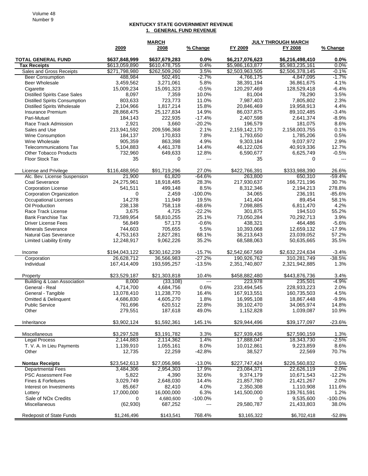## **KENTUCKY STATE GOVERNMENT REVENUE 1. GENERAL FUND REVENUE**

|                                                 | <b>MARCH</b>                   |                                |              |                                    | <b>JULY THROUGH MARCH</b>          |                |
|-------------------------------------------------|--------------------------------|--------------------------------|--------------|------------------------------------|------------------------------------|----------------|
|                                                 | 2009                           | 2008                           | % Change     | FY 2009                            | FY 2008                            | % Change       |
|                                                 |                                |                                |              |                                    |                                    |                |
| <b>TOTAL GENERAL FUND</b>                       | \$637,848,999                  | \$637,679,283                  | 0.0%<br>0.4% | \$6,217,076,623                    | \$6,216,498,410                    | 0.0%<br>0.0%   |
| <b>Tax Receipts</b><br>Sales and Gross Receipts | \$613,059,890<br>\$271,798,980 | \$610,478,755<br>\$262,509,260 | 3.5%         | \$5,986,163,877<br>\$2,503,963,505 | \$5,983,235,161<br>\$2,506,378,145 | $-0.1%$        |
| <b>Beer Consumption</b>                         | 488,984                        | 502,491                        | $-2.7%$      | 4,766,175                          | 4,847,095                          | $-1.7%$        |
| <b>Beer Wholesale</b>                           | 3,459,562                      | 3,271,061                      | 5.8%         | 38,391,194                         | 36,861,675                         | 4.1%           |
| Cigarette                                       | 15,009,234                     | 15,091,323                     | $-0.5%$      | 120,297,469                        | 128,529,418                        | $-6.4%$        |
| <b>Distilled Spirits Case Sales</b>             | 8,097                          | 7,359                          | 10.0%        | 81,004                             | 78,290                             | 3.5%           |
| <b>Distilled Spirits Consumption</b>            | 803,633                        | 723,773                        | 11.0%        | 7,987,403                          | 7,805,802                          | 2.3%           |
| <b>Distilled Spirits Wholesale</b>              | 2,104,966                      | 1,817,214                      | 15.8%        | 20,846,469                         | 19,958,913                         | 4.4%           |
| Insurance Premium                               | 28,868,475                     | 25,127,834                     | 14.9%        | 86,037,875                         | 89,102,485                         | $-3.4%$        |
| Pari-Mutuel                                     | 184.143                        | 222,935                        | $-17.4%$     | 2,407,598                          | 2,641,374                          | $-8.9%$        |
| Race Track Admission                            | 2,921                          | 3,660                          | $-20.2%$     | 196,579                            | 181,075                            | 8.6%           |
| Sales and Use                                   | 213,941,592                    | 209,596,368                    | 2.1%         | 2,159,142,170                      | 2,158,003,755                      | 0.1%           |
| <b>Wine Consumption</b>                         | 184,137                        | 170,833                        | 7.8%         | 1,793,650                          | 1,785,206                          | 0.5%           |
| Wine Wholesale                                  | 905,359                        | 863,398                        | 4.9%         | 9,303,184                          | 9,037,972                          | 2.9%           |
| <b>Telecommunications Tax</b>                   | 5,104,883                      | 4,461,378                      | 14.4%        | 46,122,026                         | 40,919,336                         | 12.7%          |
| <b>Other Tobacco Products</b>                   | 732,960                        | 649,633                        | 12.8%        | 6,590,677                          | 6,625,749                          | $-0.5%$        |
| <b>Floor Stock Tax</b>                          | 35                             | $\Omega$                       | $---$        | 35                                 | 0                                  | $\overline{a}$ |
| License and Privilege                           | \$116,488,950                  | \$91,719,296                   | 27.0%        | \$422,766,391                      | \$333,988,390                      | 26.6%          |
| Alc. Bev. License Suspension                    | 21,900                         | 61,820                         | $-64.6%$     | 263,800                            | 650,310                            | $-59.4%$       |
| Coal Severance                                  | 24,275,961                     | 18,918,485                     | 28.3%        | 217,930,637                        | 166,721,196                        | 30.7%          |
| <b>Corporation License</b>                      | 541,511                        | 499,148                        | 8.5%         | 8,312,346                          | 2,194,213                          | 278.8%         |
| Corporation Organization                        | 0                              | 2,459                          | $-100.0%$    | 34,065                             | 236,191                            | $-85.6%$       |
| <b>Occupational Licenses</b>                    | 14,278                         | 11,949                         | 19.5%        | 141,404                            | 89,454                             | 58.1%          |
| Oil Production                                  | 238,138                        | 758,118                        | $-68.6%$     | 7,098,885                          | 6,811,470                          | 4.2%           |
| Race Track License                              | 3,675                          | 4,725                          | $-22.2%$     | 301,875                            | 194,510                            | 55.2%          |
| <b>Bank Franchise Tax</b>                       | 73,589,954                     | 58,810,255                     | 25.1%        | 73,050,284                         | 70,292,713                         | 3.9%           |
| <b>Driver License Fees</b>                      | 56,849                         | 57,173                         | $-0.6%$      | 438,321                            | 464,486                            | $-5.6%$        |
| <b>Minerals Severance</b>                       | 744,603                        | 705,655                        | 5.5%         | 10,393,068                         | 12,659,132                         | $-17.9%$       |
| <b>Natural Gas Severance</b>                    | 4,753,163                      | 2,827,281                      | 68.1%        | 36,213,643                         | 23,039,052                         | 57.2%          |
| <b>Limited Liability Entity</b>                 | 12,248,917                     | 9,062,226                      | 35.2%        | 68,588,063                         | 50,635,665                         | 35.5%          |
| Income                                          | \$194,043,122                  | \$230,162,239                  | $-15.7%$     | \$2,542,667,569                    | \$2,632,224,634                    | $-3.4%$        |
| Corporation                                     | 26,628,712                     | 36,566,983                     | $-27.2%$     | 190,926,762                        | 310,281,749                        | $-38.5%$       |
| Individual                                      | 167,414,409                    | 193,595,257                    | $-13.5%$     | 2,351,740,807                      | 2,321,942,885                      | 1.3%           |
| Property                                        | \$23,529,187                   | \$21,303,818                   | 10.4%        | \$458,882,480                      | \$443,876,736                      | 3.4%           |
| <b>Building &amp; Loan Association</b>          | 8,000                          | (33, 108)                      | $---$        | 223,978                            | 235,501                            | $-4.9%$        |
| General - Real                                  | 4,714,700                      | 4,684,756                      | 0.6%         | 233,494,545                        | 228,933,223                        | 2.0%           |
| General - Tangible                              | 13,078,410                     | 11,238,770                     | 16.4%        | 167,913,551                        | 160,735,503                        | 4.5%           |
| <b>Omitted &amp; Delinquent</b>                 | 4,686,830                      | 4,605,270                      | 1.8%         | 16,995,108                         | 18,867,448                         | $-9.9%$        |
| <b>Public Service</b>                           | 761,696                        | 620,512                        | 22.8%        | 39,102,470                         | 34,065,974                         | 14.8%          |
| Other                                           | 279,551                        | 187,618                        | 49.0%        | 1,152,828                          | 1,039,087                          | 10.9%          |
| Inheritance                                     | \$3,902,124                    | \$1,592,361                    | 145.1%       | \$29,944,496                       | \$39,177,097                       | $-23.6%$       |
| Miscellaneous                                   | \$3,297,528                    | \$3,191,782                    | 3.3%         | \$27,939,436                       | \$27,590,159                       | 1.3%           |
| Legal Process                                   | 2,144,883                      | 2,114,362                      | 1.4%         | 17,888,047                         | 18,343,730                         | $-2.5%$        |
| T. V. A. In Lieu Payments                       | 1,139,910                      | 1,055,161                      | 8.0%         | 10,012,861                         | 9,223,859                          | 8.6%           |
| Other                                           | 12,735                         | 22,259                         | $-42.8%$     | 38,527                             | 22,569                             | 70.7%          |
| <b>Nontax Receipts</b>                          | \$23,542,613                   | \$27,056,986                   | $-13.0%$     | \$227,747,424                      | \$226,560,832                      | 0.5%           |
| <b>Departmental Fees</b>                        | 3,484,306                      | 2,954,303                      | 17.9%        | 23,084,371                         | 22,626,119                         | 2.0%           |
| PSC Assessment Fee                              | 5,822                          | 4,390                          | 32.6%        | 9,374,179                          | 10,671,543                         | $-12.2%$       |
| Fines & Forfeitures                             | 3,029,749                      | 2,648,030                      | 14.4%        | 21,857,780                         | 21,421,267                         | 2.0%           |
| Interest on Investments                         | 85,667                         | 82,410                         | 4.0%         | 2,350,308                          | 1,110,908                          | 111.6%         |
| Lottery                                         | 17,000,000                     | 16,000,000                     | 6.3%         | 141,500,000                        | 139,761,591                        | 1.2%           |
| Sale of NO <sub>x</sub> Credits                 | 0                              | 4,680,600                      | $-100.0\%$   | $\Omega$                           | 9,535,600                          | $-100.0%$      |
| Miscellaneous                                   | (62, 930)                      | 687,252                        |              | 29,580,787                         | 21,433,803                         | 38.0%          |
| <b>Redeposit of State Funds</b>                 | \$1,246,496                    | \$143,541                      | 768.4%       | \$3,165,322                        | \$6,702,418                        | $-52.8%$       |